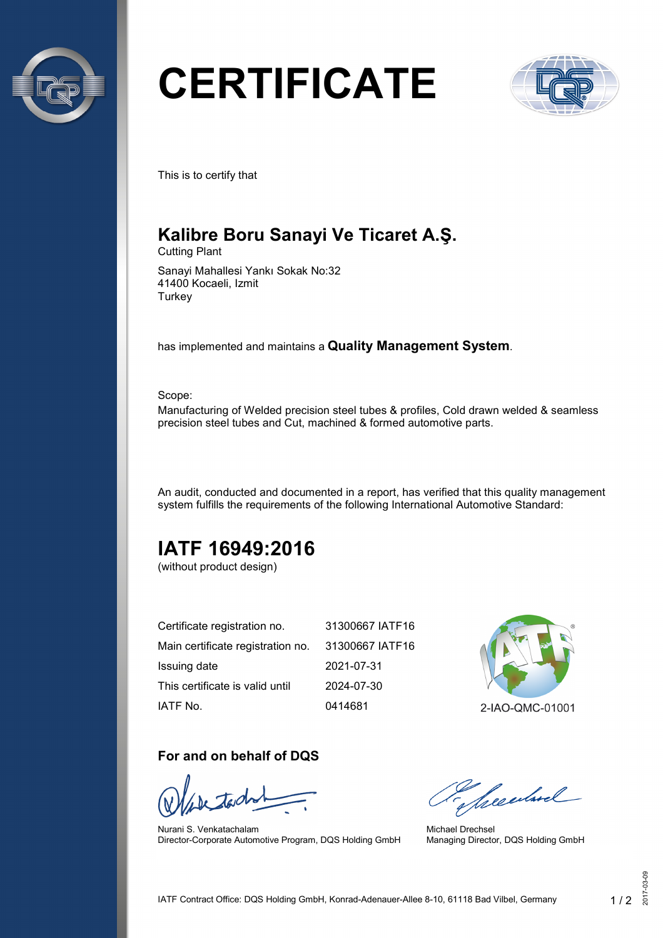

# **CERTIFICATE**



This is to certify that

## **Kalibre Boru Sanayi Ve Ticaret A.Ş.**

Cutting Plant

Sanayi Mahallesi Yankı Sokak No:32 41400 Kocaeli, Izmit **Turkey** 

has implemented and maintains a **Quality Management System**.

Scope:

Manufacturing of Welded precision steel tubes & profiles, Cold drawn welded & seamless precision steel tubes and Cut, machined & formed automotive parts.

An audit, conducted and documented in a report, has verified that this quality management system fulfills the requirements of the following International Automotive Standard:

## **IATF 16949:2016**

(without product design)

| Certificate registration no.      | 31300667 IATF16 |
|-----------------------------------|-----------------|
| Main certificate registration no. | 31300667 IATF16 |
| Issuing date                      | 2021-07-31      |
| This certificate is valid until   | 2024-07-30      |
| IATF No.                          | 0414681         |



2-IAO-QMC-01001

#### **For and on behalf of DQS**

Nurani S. Venkatachalam Director-Corporate Automotive Program, DQS Holding GmbH

Secularel

Michael Drechsel Managing Director, DQS Holding GmbH